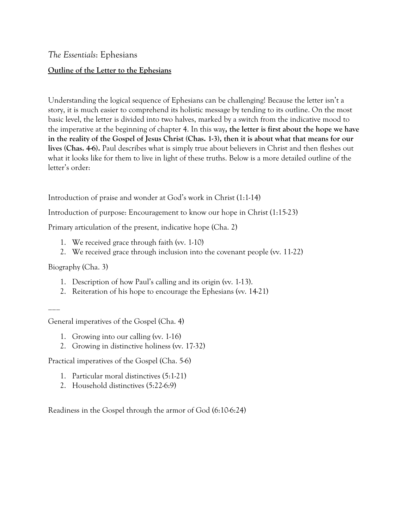*The Essentials*: Ephesians

## **Outline of the Letter to the Ephesians**

Understanding the logical sequence of Ephesians can be challenging! Because the letter isn't a story, it is much easier to comprehend its holistic message by tending to its outline. On the most basic level, the letter is divided into two halves, marked by a switch from the indicative mood to the imperative at the beginning of chapter 4. In this way**, the letter is first about the hope we have in the reality of the Gospel of Jesus Christ (Chas. 1-3), then it is about what that means for our lives (Chas. 4-6).** Paul describes what is simply true about believers in Christ and then fleshes out what it looks like for them to live in light of these truths. Below is a more detailed outline of the letter's order:

Introduction of praise and wonder at God's work in Christ (1:1-14)

Introduction of purpose: Encouragement to know our hope in Christ (1:15-23)

Primary articulation of the present, indicative hope (Cha. 2)

- 1. We received grace through faith (vv. 1-10)
- 2. We received grace through inclusion into the covenant people (vv. 11-22)

Biography (Cha. 3)

- 1. Description of how Paul's calling and its origin (vv. 1-13).
- 2. Reiteration of his hope to encourage the Ephesians (vv. 14-21)

 $\overline{\phantom{a}}$ 

General imperatives of the Gospel (Cha. 4)

- 1. Growing into our calling (vv. 1-16)
- 2. Growing in distinctive holiness (vv. 17-32)

Practical imperatives of the Gospel (Cha. 5-6)

- 1. Particular moral distinctives (5:1-21)
- 2. Household distinctives (5:22-6:9)

Readiness in the Gospel through the armor of God (6:10-6:24)